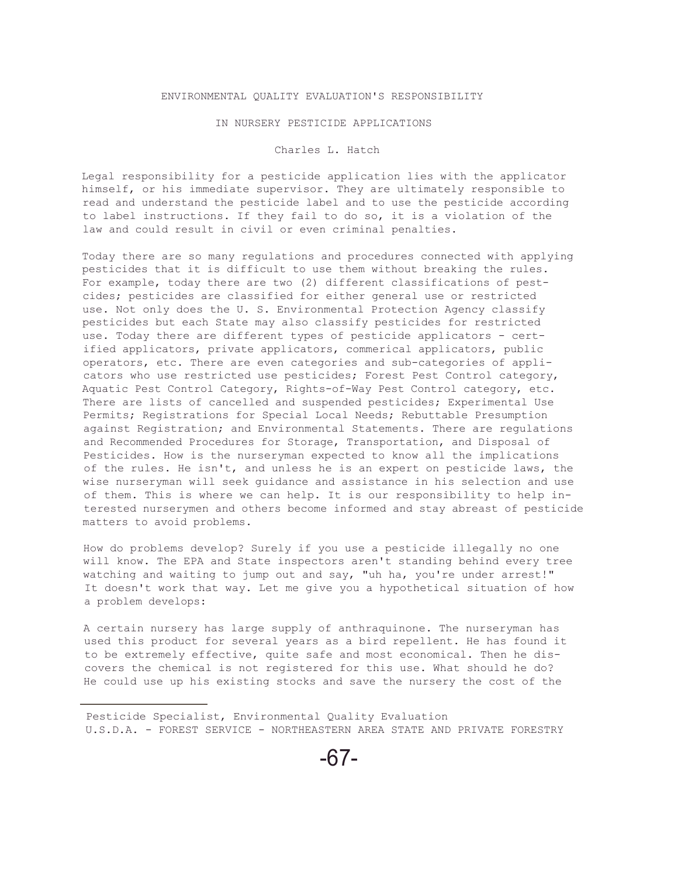## ENVIRONMENTAL QUALITY EVALUATION'S RESPONSIBILITY

## IN NURSERY PESTICIDE APPLICATIONS

## Charles L. Hatch

Legal responsibility for a pesticide application lies with the applicator himself, or his immediate supervisor. They are ultimately responsible to read and understand the pesticide label and to use the pesticide according to label instructions. If they fail to do so, it is a violation of the law and could result in civil or even criminal penalties.

Today there are so many regulations and procedures connected with applying pesticides that it is difficult to use them without breaking the rules. For example, today there are two (2) different classifications of pestcides; pesticides are classified for either general use or restricted use. Not only does the U. S. Environmental Protection Agency classify pesticides but each State may also classify pesticides for restricted use. Today there are different types of pesticide applicators - certified applicators, private applicators, commerical applicators, public operators, etc. There are even categories and sub-categories of applicators who use restricted use pesticides; Forest Pest Control category, Aquatic Pest Control Category, Rights-of-Way Pest Control category, etc. There are lists of cancelled and suspended pesticides; Experimental Use Permits; Registrations for Special Local Needs; Rebuttable Presumption against Registration; and Environmental Statements. There are regulations and Recommended Procedures for Storage, Transportation, and Disposal of Pesticides. How is the nurseryman expected to know all the implications of the rules. He isn't, and unless he is an expert on pesticide laws, the wise nurseryman will seek guidance and assistance in his selection and use of them. This is where we can help. It is our responsibility to help interested nurserymen and others become informed and stay abreast of pesticide matters to avoid problems.

How do problems develop? Surely if you use a pesticide illegally no one will know. The EPA and State inspectors aren't standing behind every tree watching and waiting to jump out and say, "uh ha, you're under arrest!" It doesn't work that way. Let me give you a hypothetical situation of how a problem develops:

A certain nursery has large supply of anthraquinone. The nurseryman has used this product for several years as a bird repellent. He has found it to be extremely effective, quite safe and most economical. Then he discovers the chemical is not registered for this use. What should he do? He could use up his existing stocks and save the nursery the cost of the

Pesticide Specialist, Environmental Quality Evaluation U.S.D.A. - FOREST SERVICE - NORTHEASTERN AREA STATE AND PRIVATE FORESTRY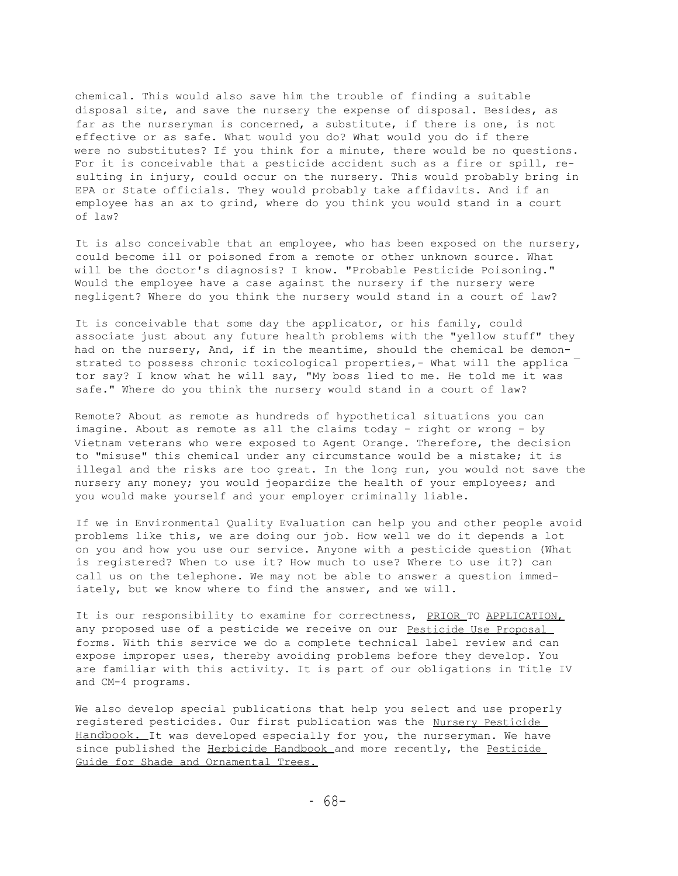chemical. This would also save him the trouble of finding a suitable disposal site, and save the nursery the expense of disposal. Besides, as far as the nurseryman is concerned, a substitute, if there is one, is not effective or as safe. What would you do? What would you do if there were no substitutes? If you think for a minute, there would be no questions. For it is conceivable that a pesticide accident such as a fire or spill, resulting in injury, could occur on the nursery. This would probably bring in EPA or State officials. They would probably take affidavits. And if an employee has an ax to grind, where do you think you would stand in a court of law?

It is also conceivable that an employee, who has been exposed on the nursery, could become ill or poisoned from a remote or other unknown source. What will be the doctor's diagnosis? I know. "Probable Pesticide Poisoning." Would the employee have a case against the nursery if the nursery were negligent? Where do you think the nursery would stand in a court of law?

It is conceivable that some day the applicator, or his family, could associate just about any future health problems with the "yellow stuff" they had on the nursery, And, if in the meantime, should the chemical be demonstrated to possess chronic toxicological properties,- What will the applica  $^$ tor say? I know what he will say, "My boss lied to me. He told me it was safe." Where do you think the nursery would stand in a court of law?

Remote? About as remote as hundreds of hypothetical situations you can imagine. About as remote as all the claims today - right or wrong - by Vietnam veterans who were exposed to Agent Orange. Therefore, the decision to "misuse" this chemical under any circumstance would be a mistake; it is illegal and the risks are too great. In the long run, you would not save the nursery any money; you would jeopardize the health of your employees; and you would make yourself and your employer criminally liable.

If we in Environmental Quality Evaluation can help you and other people avoid problems like this, we are doing our job. How well we do it depends a lot on you and how you use our service. Anyone with a pesticide question (What is registered? When to use it? How much to use? Where to use it?) can call us on the telephone. We may not be able to answer a question immediately, but we know where to find the answer, and we will.

It is our responsibility to examine for correctness, PRIOR TO APPLICATION, any proposed use of a pesticide we receive on our Pesticide Use Proposal forms. With this service we do a complete technical label review and can expose improper uses, thereby avoiding problems before they develop. You are familiar with this activity. It is part of our obligations in Title IV and CM-4 programs.

We also develop special publications that help you select and use properly registered pesticides. Our first publication was the Nursery Pesticide Handbook. It was developed especially for you, the nurseryman. We have since published the Herbicide Handbook and more recently, the Pesticide Guide for Shade and Ornamental Trees.